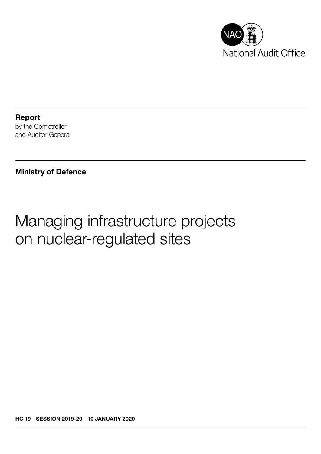

Report by the Comptroller and Auditor General

Ministry of Defence

# Managing infrastructure projects on nuclear-regulated sites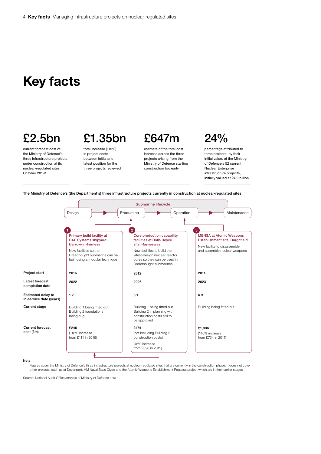### Key facts

### £2.5bn

current forecast cost of the Ministry of Defence's three infrastructure projects under construction at its nuclear-regulated sites, October 2019<sup>1</sup>

## £1.35bn

total increase (115%) in project costs between initial and latest position for the three projects reviewed

### £647m estimate of the total cost

increase across the three projects arising from the Ministry of Defence starting construction too early

## 24%

percentage attributed to three projects, by their initial value, of the Ministry of Defence's 52 current Nuclear Enterprise infrastructure projects, initially valued at £4.9 billion

The Ministry of Defence's (the Department's) three infrastructure projects currently in construction at nuclear-regulated sites



#### Note

1 Figures cover the Ministry of Defence's three infrastructure projects at nuclear-regulated sites that are currently in the construction phase. It does not cover other projects, such as at Devonport, HM Naval Base Clyde and the Atomic Weapons Establishment Pegasus project which are in their earlier stages.

Source: National Audit Office analysis of Ministry of Defence data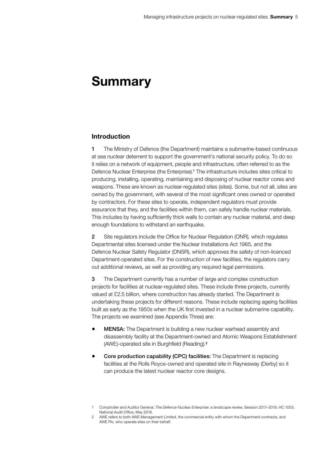### Summary

#### Introduction

1 The Ministry of Defence (the Department) maintains a submarine-based continuous at sea nuclear deterrent to support the government's national security policy. To do so it relies on a network of equipment, people and infrastructure, often referred to as the Defence Nuclear Enterprise (the Enterprise).<sup>1</sup> The infrastructure includes sites critical to producing, installing, operating, maintaining and disposing of nuclear reactor cores and weapons. These are known as nuclear-regulated sites (sites). Some, but not all, sites are owned by the government, with several of the most significant ones owned or operated by contractors. For these sites to operate, independent regulators must provide assurance that they, and the facilities within them, can safely handle nuclear materials. This includes by having sufficiently thick walls to contain any nuclear material, and deep enough foundations to withstand an earthquake.

2 Site regulators include the Office for Nuclear Regulation (ONR), which regulates Departmental sites licensed under the Nuclear Installations Act 1965, and the Defence Nuclear Safety Regulator (DNSR), which approves the safety of non-licenced Department-operated sites. For the construction of new facilities, the regulators carry out additional reviews, as well as providing any required legal permissions.

3 The Department currently has a number of large and complex construction projects for facilities at nuclear-regulated sites. These include three projects, currently valued at £2.5 billion, where construction has already started. The Department is undertaking these projects for different reasons. These include replacing ageing facilities built as early as the 1950s when the UK first invested in a nuclear submarine capability. The projects we examined (see Appendix Three) are:

- MENSA: The Department is building a new nuclear warhead assembly and disassembly facility at the Department-owned and Atomic Weapons Establishment (AWE)-operated site in Burghfield (Reading).<sup>2</sup>
- Core production capability (CPC) facilities: The Department is replacing facilities at the Rolls Royce-owned and operated site in Raynesway (Derby) so it can produce the latest nuclear reactor core designs.

<sup>1</sup> Comptroller and Auditor General, *The Defence Nuclear Enterprise: a landscape review*, Session 2017–2019, HC 1003, National Audit Office, May 2018.

<sup>2</sup> AWE refers to both AWE Management Limited, the commercial entity with whom the Department contracts, and AWE Plc, who operate sites on their behalf.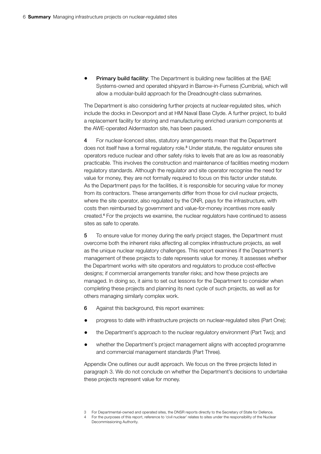**Primary build facility:** The Department is building new facilities at the BAE Systems-owned and operated shipyard in Barrow-in-Furness (Cumbria), which will allow a modular-build approach for the Dreadnought-class submarines.

The Department is also considering further projects at nuclear-regulated sites, which include the docks in Devonport and at HM Naval Base Clyde. A further project, to build a replacement facility for storing and manufacturing enriched uranium components at the AWE-operated Aldermaston site, has been paused.

4 For nuclear-licenced sites, statutory arrangements mean that the Department does not itself have a formal regulatory role.<sup>3</sup> Under statute, the regulator ensures site operators reduce nuclear and other safety risks to levels that are as low as reasonably practicable. This involves the construction and maintenance of facilities meeting modern regulatory standards. Although the regulator and site operator recognise the need for value for money, they are not formally required to focus on this factor under statute. As the Department pays for the facilities, it is responsible for securing value for money from its contractors. These arrangements differ from those for civil nuclear projects, where the site operator, also regulated by the ONR, pays for the infrastructure, with costs then reimbursed by government and value-for-money incentives more easily created.<sup>4</sup> For the projects we examine, the nuclear regulators have continued to assess sites as safe to operate.

5 To ensure value for money during the early project stages, the Department must overcome both the inherent risks affecting all complex infrastructure projects, as well as the unique nuclear regulatory challenges. This report examines if the Department's management of these projects to date represents value for money. It assesses whether the Department works with site operators and regulators to produce cost-effective designs; if commercial arrangements transfer risks; and how these projects are managed. In doing so, it aims to set out lessons for the Department to consider when completing these projects and planning its next cycle of such projects, as well as for others managing similarly complex work.

- 6 Against this background, this report examines:
- progress to date with infrastructure projects on nuclear-regulated sites (Part One);
- the Department's approach to the nuclear regulatory environment (Part Two); and
- whether the Department's project management aligns with accepted programme and commercial management standards (Part Three).

Appendix One outlines our audit approach. We focus on the three projects listed in paragraph 3. We do not conclude on whether the Department's decisions to undertake these projects represent value for money.

<sup>3</sup> For Departmental-owned and operated sites, the DNSR reports directly to the Secretary of State for Defence.

<sup>4</sup> For the purposes of this report, reference to 'civil nuclear' relates to sites under the responsibility of the Nuclear Decommissioning Authority.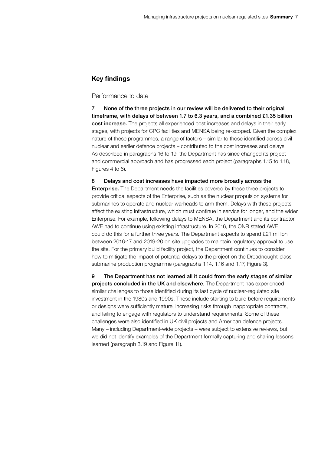### Key findings

#### Performance to date

7 None of the three projects in our review will be delivered to their original timeframe, with delays of between 1.7 to 6.3 years, and a combined £1.35 billion cost increase. The projects all experienced cost increases and delays in their early stages, with projects for CPC facilities and MENSA being re-scoped. Given the complex nature of these programmes, a range of factors – similar to those identified across civil nuclear and earlier defence projects – contributed to the cost increases and delays. As described in paragraphs 16 to 19, the Department has since changed its project and commercial approach and has progressed each project (paragraphs 1.15 to 1.18, Figures 4 to 6).

8 Delays and cost increases have impacted more broadly across the Enterprise. The Department needs the facilities covered by these three projects to provide critical aspects of the Enterprise, such as the nuclear propulsion systems for submarines to operate and nuclear warheads to arm them. Delays with these projects affect the existing infrastructure, which must continue in service for longer, and the wider Enterprise. For example, following delays to MENSA, the Department and its contractor AWE had to continue using existing infrastructure. In 2016, the ONR stated AWE could do this for a further three years. The Department expects to spend £21 million between 2016-17 and 2019-20 on site upgrades to maintain regulatory approval to use the site. For the primary build facility project, the Department continues to consider how to mitigate the impact of potential delays to the project on the Dreadnought-class submarine production programme (paragraphs 1.14, 1.16 and 1.17, Figure 3).

9 The Department has not learned all it could from the early stages of similar projects concluded in the UK and elsewhere. The Department has experienced similar challenges to those identified during its last cycle of nuclear-regulated site investment in the 1980s and 1990s. These include starting to build before requirements or designs were sufficiently mature, increasing risks through inappropriate contracts, and failing to engage with regulators to understand requirements. Some of these challenges were also identified in UK civil projects and American defence projects. Many – including Department-wide projects – were subject to extensive reviews, but we did not identify examples of the Department formally capturing and sharing lessons learned (paragraph 3.19 and Figure 11).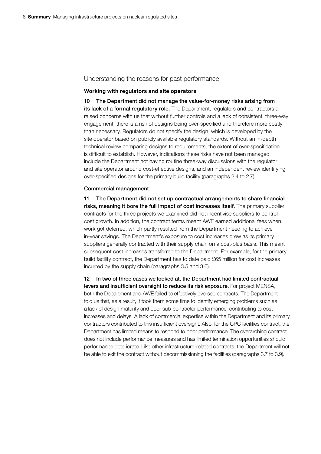#### Understanding the reasons for past performance

#### Working with regulators and site operators

10 The Department did not manage the value-for-money risks arising from its lack of a formal regulatory role. The Department, regulators and contractors all raised concerns with us that without further controls and a lack of consistent, three-way engagement, there is a risk of designs being over-specified and therefore more costly than necessary. Regulators do not specify the design, which is developed by the site operator based on publicly available regulatory standards. Without an in-depth technical review comparing designs to requirements, the extent of over-specification is difficult to establish. However, indications these risks have not been managed include the Department not having routine three-way discussions with the regulator and site operator around cost-effective designs, and an independent review identifying over-specified designs for the primary build facility (paragraphs 2.4 to 2.7).

#### Commercial management

11 The Department did not set up contractual arrangements to share financial risks, meaning it bore the full impact of cost increases itself. The primary supplier contracts for the three projects we examined did not incentivise suppliers to control cost growth. In addition, the contract terms meant AWE earned additional fees when work got deferred, which partly resulted from the Department needing to achieve in-year savings. The Department's exposure to cost increases grew as its primary suppliers generally contracted with their supply chain on a cost-plus basis. This meant subsequent cost increases transferred to the Department. For example, for the primary build facility contract, the Department has to date paid £65 million for cost increases incurred by the supply chain (paragraphs 3.5 and 3.6).

12 In two of three cases we looked at, the Department had limited contractual levers and insufficient oversight to reduce its risk exposure. For project MENSA, both the Department and AWE failed to effectively oversee contracts. The Department told us that, as a result, it took them some time to identify emerging problems such as a lack of design maturity and poor sub-contractor performance, contributing to cost increases and delays. A lack of commercial expertise within the Department and its primary contractors contributed to this insufficient oversight. Also, for the CPC facilities contract, the Department has limited means to respond to poor performance. The overarching contract does not include performance measures and has limited termination opportunities should performance deteriorate. Like other infrastructure-related contracts, the Department will not be able to exit the contract without decommissioning the facilities (paragraphs 3.7 to 3.9).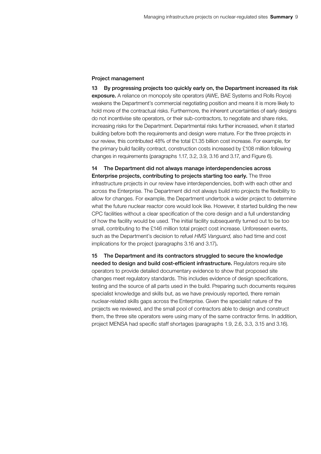#### Project management

13 By progressing projects too quickly early on, the Department increased its risk exposure. A reliance on monopoly site operators (AWE, BAE Systems and Rolls Royce) weakens the Department's commercial negotiating position and means it is more likely to hold more of the contractual risks. Furthermore, the inherent uncertainties of early designs do not incentivise site operators, or their sub-contractors, to negotiate and share risks, increasing risks for the Department. Departmental risks further increased, when it started building before both the requirements and design were mature. For the three projects in our review, this contributed 48% of the total £1.35 billion cost increase. For example, for the primary build facility contract, construction costs increased by £108 million following changes in requirements (paragraphs 1.17, 3.2, 3.9, 3.16 and 3.17, and Figure 6).

14 The Department did not always manage interdependencies across Enterprise projects, contributing to projects starting too early. The three infrastructure projects in our review have interdependencies, both with each other and across the Enterprise. The Department did not always build into projects the flexibility to allow for changes. For example, the Department undertook a wider project to determine what the future nuclear reactor core would look like. However, it started building the new CPC facilities without a clear specification of the core design and a full understanding of how the facility would be used. The initial facility subsequently turned out to be too small, contributing to the £146 million total project cost increase. Unforeseen events, such as the Department's decision to refuel *HMS Vanguard*, also had time and cost implications for the project (paragraphs 3.16 and 3.17).

15 The Department and its contractors struggled to secure the knowledge needed to design and build cost-efficient infrastructure. Requiators require site operators to provide detailed documentary evidence to show that proposed site changes meet regulatory standards. This includes evidence of design specifications, testing and the source of all parts used in the build. Preparing such documents requires specialist knowledge and skills but, as we have previously reported, there remain nuclear-related skills gaps across the Enterprise. Given the specialist nature of the projects we reviewed, and the small pool of contractors able to design and construct them, the three site operators were using many of the same contractor firms. In addition, project MENSA had specific staff shortages (paragraphs 1.9, 2.6, 3.3, 3.15 and 3.16).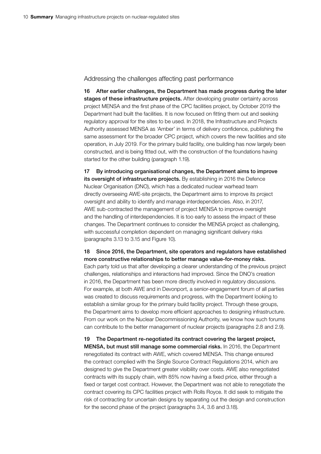Addressing the challenges affecting past performance

16 After earlier challenges, the Department has made progress during the later stages of these infrastructure projects. After developing greater certainty across project MENSA and the first phase of the CPC facilities project, by October 2019 the Department had built the facilities. It is now focused on fitting them out and seeking regulatory approval for the sites to be used. In 2018, the Infrastructure and Projects Authority assessed MENSA as 'Amber' in terms of delivery confidence, publishing the same assessment for the broader CPC project, which covers the new facilities and site operation, in July 2019. For the primary build facility, one building has now largely been constructed, and is being fitted out, with the construction of the foundations having started for the other building (paragraph 1.19).

17 By introducing organisational changes, the Department aims to improve its oversight of infrastructure projects. By establishing in 2016 the Defence Nuclear Organisation (DNO), which has a dedicated nuclear warhead team directly overseeing AWE-site projects, the Department aims to improve its project oversight and ability to identify and manage interdependencies. Also, in 2017, AWE sub-contracted the management of project MENSA to improve oversight and the handling of interdependencies. It is too early to assess the impact of these changes. The Department continues to consider the MENSA project as challenging, with successful completion dependent on managing significant delivery risks (paragraphs 3.13 to 3.15 and Figure 10).

18 Since 2016, the Department, site operators and regulators have established more constructive relationships to better manage value-for-money risks. Each party told us that after developing a clearer understanding of the previous project challenges, relationships and interactions had improved. Since the DNO's creation in 2016, the Department has been more directly involved in regulatory discussions. For example, at both AWE and in Devonport, a senior-engagement forum of all parties was created to discuss requirements and progress, with the Department looking to establish a similar group for the primary build facility project. Through these groups, the Department aims to develop more efficient approaches to designing infrastructure. From our work on the Nuclear Decommissioning Authority, we know how such forums can contribute to the better management of nuclear projects (paragraphs 2.8 and 2.9).

19 The Department re-negotiated its contract covering the largest project, MENSA, but must still manage some commercial risks. In 2016, the Department renegotiated its contract with AWE, which covered MENSA. This change ensured the contract complied with the Single Source Contract Regulations 2014, which are designed to give the Department greater visibility over costs. AWE also renegotiated contracts with its supply chain, with 85% now having a fixed price, either through a fixed or target cost contract. However, the Department was not able to renegotiate the contract covering its CPC facilities project with Rolls Royce. It did seek to mitigate the risk of contracting for uncertain designs by separating out the design and construction for the second phase of the project (paragraphs 3.4, 3.6 and 3.18).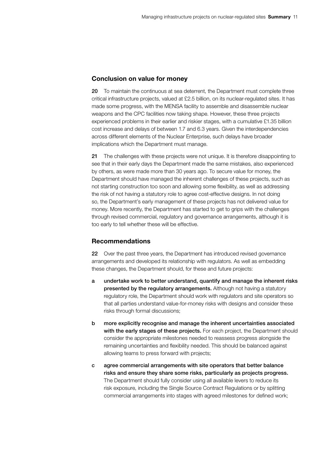#### Conclusion on value for money

20 To maintain the continuous at sea deterrent, the Department must complete three critical infrastructure projects, valued at £2.5 billion, on its nuclear-regulated sites. It has made some progress, with the MENSA facility to assemble and disassemble nuclear weapons and the CPC facilities now taking shape. However, these three projects experienced problems in their earlier and riskier stages, with a cumulative £1.35 billion cost increase and delays of between 1.7 and 6.3 years. Given the interdependencies across different elements of the Nuclear Enterprise, such delays have broader implications which the Department must manage.

21 The challenges with these projects were not unique. It is therefore disappointing to see that in their early days the Department made the same mistakes, also experienced by others, as were made more than 30 years ago. To secure value for money, the Department should have managed the inherent challenges of these projects, such as not starting construction too soon and allowing some flexibility, as well as addressing the risk of not having a statutory role to agree cost-effective designs. In not doing so, the Department's early management of these projects has not delivered value for money. More recently, the Department has started to get to grips with the challenges through revised commercial, regulatory and governance arrangements, although it is too early to tell whether these will be effective.

### Recommendations

22 Over the past three years, the Department has introduced revised governance arrangements and developed its relationship with regulators. As well as embedding these changes, the Department should, for these and future projects:

- a undertake work to better understand, quantify and manage the inherent risks presented by the regulatory arrangements. Although not having a statutory regulatory role, the Department should work with regulators and site operators so that all parties understand value-for-money risks with designs and consider these risks through formal discussions;
- b more explicitly recognise and manage the inherent uncertainties associated with the early stages of these projects. For each project, the Department should consider the appropriate milestones needed to reassess progress alongside the remaining uncertainties and flexibility needed. This should be balanced against allowing teams to press forward with projects;
- c agree commercial arrangements with site operators that better balance risks and ensure they share some risks, particularly as projects progress. The Department should fully consider using all available levers to reduce its risk exposure, including the Single Source Contract Regulations or by splitting commercial arrangements into stages with agreed milestones for defined work;